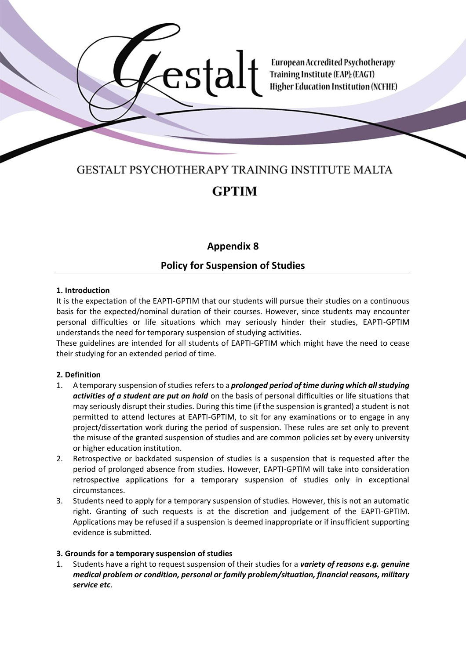

# **GESTALT PSYCHOTHERAPY TRAINING INSTITUTE MALTA GPTIM**

stze

# **Appendix 8**

# **Policy for Suspension of Studies**

#### **1. Introduction**

It is the expectation of the EAPTI-GPTIM that our students will pursue their studies on a continuous basis for the expected/nominal duration of their courses. However, since students may encounter personal difficulties or life situations which may seriously hinder their studies, EAPTI-GPTIM understands the need for temporary suspension of studying activities.

These guidelines are intended for all students of EAPTI-GPTIM which might have the need to cease their studying for an extended period of time.

# **2. Definition**

- 1. A temporary suspension of studies refers to a *prolonged period of time during which all studying activities of a student are put on hold* on the basis of personal difficulties or life situations that may seriously disrupt their studies. During this time (if the suspension is granted) a student is not permitted to attend lectures at EAPTI-GPTIM, to sit for any examinations or to engage in any project/dissertation work during the period of suspension. These rules are set only to prevent the misuse of the granted suspension of studies and are common policies set by every university or higher education institution.
- 2. Retrospective or backdated suspension of studies is a suspension that is requested after the period of prolonged absence from studies. However, EAPTI-GPTIM will take into consideration retrospective applications for a temporary suspension of studies only in exceptional circumstances.
- 3. Students need to apply for a temporary suspension of studies. However, this is not an automatic right. Granting of such requests is at the discretion and judgement of the EAPTI-GPTIM. Applications may be refused if a suspension is deemed inappropriate or if insufficient supporting evidence is submitted.

#### **3. Grounds for a temporary suspension of studies**

1. Students have a right to request suspension of their studies for a *variety of reasons e.g. genuine medical problem or condition, personal or family problem/situation, financial reasons, military service etc*.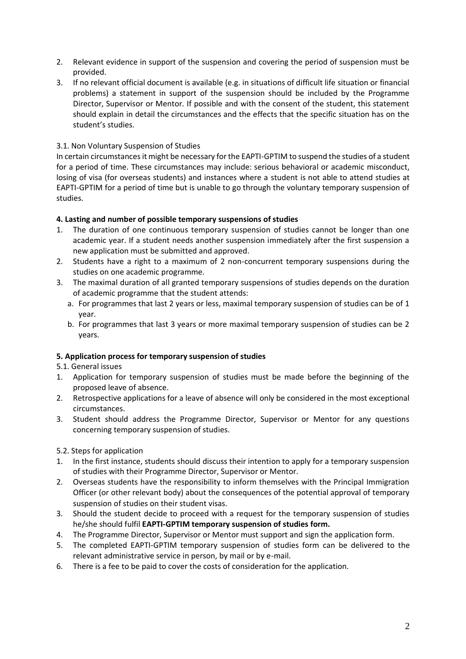- 2. Relevant evidence in support of the suspension and covering the period of suspension must be provided.
- 3. If no relevant official document is available (e.g. in situations of difficult life situation or financial problems) a statement in support of the suspension should be included by the Programme Director, Supervisor or Mentor. If possible and with the consent of the student, this statement should explain in detail the circumstances and the effects that the specific situation has on the student's studies.

# 3.1. Non Voluntary Suspension of Studies

In certain circumstances it might be necessary for the EAPTI-GPTIM to suspend the studies of a student for a period of time. These circumstances may include: serious behavioral or academic misconduct, losing of visa (for overseas students) and instances where a student is not able to attend studies at EAPTI-GPTIM for a period of time but is unable to go through the voluntary temporary suspension of studies.

# **4. Lasting and number of possible temporary suspensions of studies**

- 1. The duration of one continuous temporary suspension of studies cannot be longer than one academic year. If a student needs another suspension immediately after the first suspension a new application must be submitted and approved.
- 2. Students have a right to a maximum of 2 non-concurrent temporary suspensions during the studies on one academic programme.
- 3. The maximal duration of all granted temporary suspensions of studies depends on the duration of academic programme that the student attends:
	- a. For programmes that last 2 years or less, maximal temporary suspension of studies can be of 1 year.
	- b. For programmes that last 3 years or more maximal temporary suspension of studies can be 2 years.

# **5. Application process for temporary suspension of studies**

- 5.1. General issues
- 1. Application for temporary suspension of studies must be made before the beginning of the proposed leave of absence.
- 2. Retrospective applications for a leave of absence will only be considered in the most exceptional circumstances.
- 3. Student should address the Programme Director, Supervisor or Mentor for any questions concerning temporary suspension of studies.
- 5.2. Steps for application
- 1. In the first instance, students should discuss their intention to apply for a temporary suspension of studies with their Programme Director, Supervisor or Mentor.
- 2. Overseas students have the responsibility to inform themselves with the Principal Immigration Officer (or other relevant body) about the consequences of the potential approval of temporary suspension of studies on their student visas.
- 3. Should the student decide to proceed with a request for the temporary suspension of studies he/she should fulfil **EAPTI-GPTIM temporary suspension of studies form.**
- 4. The Programme Director, Supervisor or Mentor must support and sign the application form.
- 5. The completed EAPTI-GPTIM temporary suspension of studies form can be delivered to the relevant administrative service in person, by mail or by e-mail.
- 6. There is a fee to be paid to cover the costs of consideration for the application.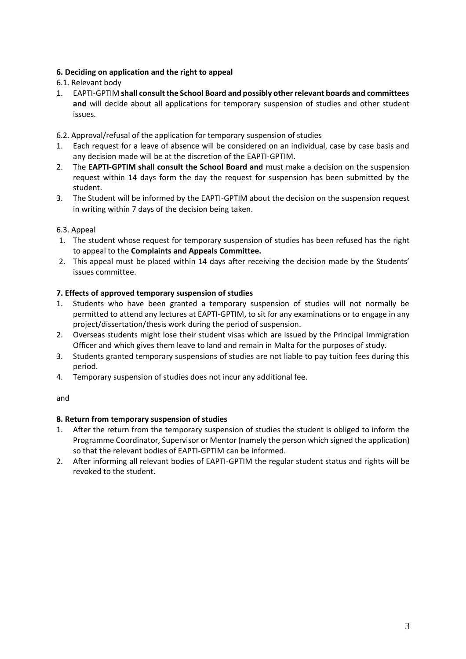# **6. Deciding on application and the right to appeal**

6.1. Relevant body

1. EAPTI-GPTIM **shall consult the School Board and possibly other relevant boards and committees and** will decide about all applications for temporary suspension of studies and other student issues.

# 6.2. Approval/refusal of the application for temporary suspension of studies

- 1. Each request for a leave of absence will be considered on an individual, case by case basis and any decision made will be at the discretion of the EAPTI-GPTIM.
- 2. The **EAPTI-GPTIM shall consult the School Board and** must make a decision on the suspension request within 14 days form the day the request for suspension has been submitted by the student.
- 3. The Student will be informed by the EAPTI-GPTIM about the decision on the suspension request in writing within 7 days of the decision being taken.

# 6.3. Appeal

- 1. The student whose request for temporary suspension of studies has been refused has the right to appeal to the **Complaints and Appeals Committee.**
- 2. This appeal must be placed within 14 days after receiving the decision made by the Students' issues committee.

# **7. Effects of approved temporary suspension of studies**

- 1. Students who have been granted a temporary suspension of studies will not normally be permitted to attend any lectures at EAPTI-GPTIM, to sit for any examinations or to engage in any project/dissertation/thesis work during the period of suspension.
- 2. Overseas students might lose their student visas which are issued by the Principal Immigration Officer and which gives them leave to land and remain in Malta for the purposes of study.
- 3. Students granted temporary suspensions of studies are not liable to pay tuition fees during this period.
- 4. Temporary suspension of studies does not incur any additional fee.

# and

# **8. Return from temporary suspension of studies**

- 1. After the return from the temporary suspension of studies the student is obliged to inform the Programme Coordinator, Supervisor or Mentor (namely the person which signed the application) so that the relevant bodies of EAPTI-GPTIM can be informed.
- 2. After informing all relevant bodies of EAPTI-GPTIM the regular student status and rights will be revoked to the student.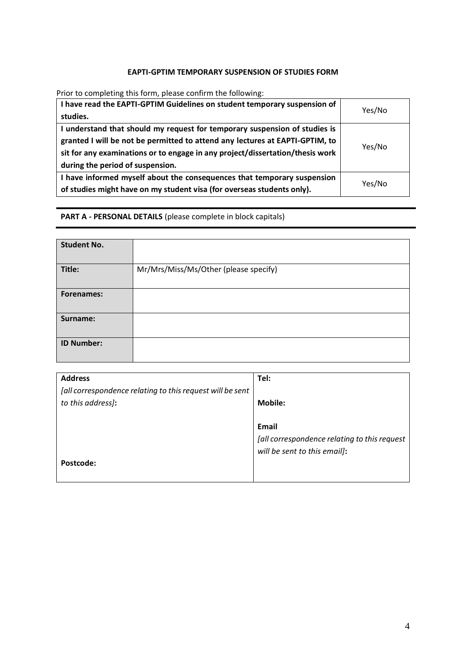# **EAPTI-GPTIM TEMPORARY SUSPENSION OF STUDIES FORM**

Prior to completing this form, please confirm the following:

| I have read the EAPTI-GPTIM Guidelines on student temporary suspension of<br>studies. | Yes/No |  |  |
|---------------------------------------------------------------------------------------|--------|--|--|
| I understand that should my request for temporary suspension of studies is            |        |  |  |
| granted I will be not be permitted to attend any lectures at EAPTI-GPTIM, to          | Yes/No |  |  |
| sit for any examinations or to engage in any project/dissertation/thesis work         |        |  |  |
| during the period of suspension.                                                      |        |  |  |
| I have informed myself about the consequences that temporary suspension<br>Yes/No     |        |  |  |
| of studies might have on my student visa (for overseas students only).                |        |  |  |

**PART A - PERSONAL DETAILS** (please complete in block capitals)

| <b>Student No.</b> |                                       |
|--------------------|---------------------------------------|
| Title:             | Mr/Mrs/Miss/Ms/Other (please specify) |
| <b>Forenames:</b>  |                                       |
| Surname:           |                                       |
| <b>ID Number:</b>  |                                       |

| <b>Address</b>                                            | Tel:                                         |
|-----------------------------------------------------------|----------------------------------------------|
| [all correspondence relating to this request will be sent |                                              |
| to this address):                                         | <b>Mobile:</b>                               |
|                                                           |                                              |
|                                                           | Email                                        |
|                                                           | [all correspondence relating to this request |
|                                                           | will be sent to this email]:                 |
| Postcode:                                                 |                                              |
|                                                           |                                              |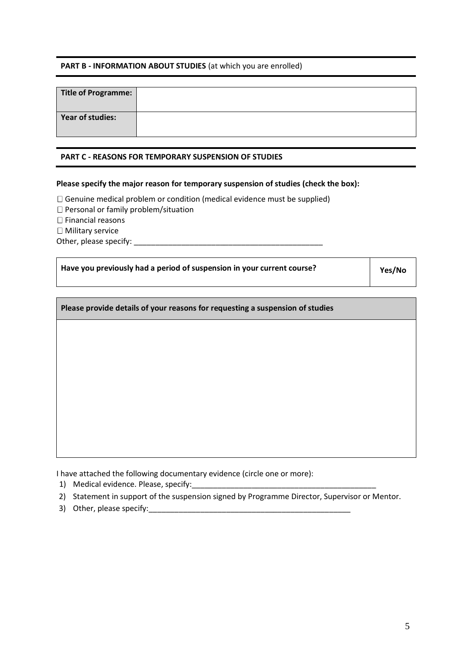#### **PART B - INFORMATION ABOUT STUDIES** (at which you are enrolled)

| Title of Programme:     |  |
|-------------------------|--|
| <b>Year of studies:</b> |  |

#### **PART C - REASONS FOR TEMPORARY SUSPENSION OF STUDIES**

#### **Please specify the major reason for temporary suspension of studies (check the box):**

 $\Box$  Genuine medical problem or condition (medical evidence must be supplied)

□ Personal or family problem/situation

 $\Box$  Financial reasons

 $\Box$  Military service

Other, please specify: \_\_\_\_\_\_\_\_\_\_\_\_\_\_\_\_\_\_\_\_\_\_\_\_\_\_\_\_\_\_\_\_\_\_\_\_\_\_\_\_\_\_\_\_

| Have you previously had a period of suspension in your current course? | Yes/No |
|------------------------------------------------------------------------|--------|
|                                                                        |        |

| Please provide details of your reasons for requesting a suspension of studies |  |  |  |
|-------------------------------------------------------------------------------|--|--|--|
|                                                                               |  |  |  |
|                                                                               |  |  |  |
|                                                                               |  |  |  |
|                                                                               |  |  |  |
|                                                                               |  |  |  |
|                                                                               |  |  |  |

I have attached the following documentary evidence (circle one or more):

- 1) Medical evidence. Please, specify:
- 2) Statement in support of the suspension signed by Programme Director, Supervisor or Mentor.
- 3) Other, please specify:\_\_\_\_\_\_\_\_\_\_\_\_\_\_\_\_\_\_\_\_\_\_\_\_\_\_\_\_\_\_\_\_\_\_\_\_\_\_\_\_\_\_\_\_\_\_\_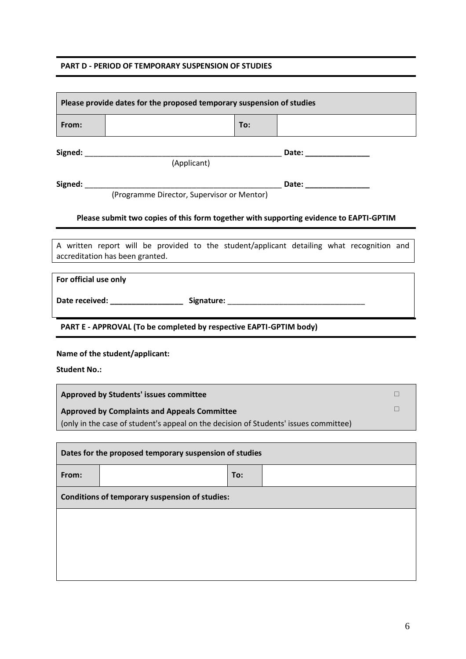#### **PART D - PERIOD OF TEMPORARY SUSPENSION OF STUDIES**

| Please provide dates for the proposed temporary suspension of studies                                                                                 |                                                                                  |     |  |                                                                                           |
|-------------------------------------------------------------------------------------------------------------------------------------------------------|----------------------------------------------------------------------------------|-----|--|-------------------------------------------------------------------------------------------|
| From:                                                                                                                                                 |                                                                                  | To: |  |                                                                                           |
|                                                                                                                                                       | (Applicant)                                                                      |     |  |                                                                                           |
|                                                                                                                                                       |                                                                                  |     |  | Date: _________________                                                                   |
|                                                                                                                                                       |                                                                                  |     |  | Please submit two copies of this form together with supporting evidence to EAPTI-GPTIM    |
|                                                                                                                                                       | accreditation has been granted.                                                  |     |  | A written report will be provided to the student/applicant detailing what recognition and |
| For official use only                                                                                                                                 |                                                                                  |     |  |                                                                                           |
|                                                                                                                                                       | Date received: ______________________ Signature: _______________________________ |     |  |                                                                                           |
|                                                                                                                                                       | PART E - APPROVAL (To be completed by respective EAPTI-GPTIM body)               |     |  |                                                                                           |
| Name of the student/applicant:<br><b>Student No.:</b>                                                                                                 |                                                                                  |     |  |                                                                                           |
| Approved by Students' issues committee<br>П                                                                                                           |                                                                                  |     |  |                                                                                           |
| $\Box$<br><b>Approved by Complaints and Appeals Committee</b><br>(only in the case of student's appeal on the decision of Students' issues committee) |                                                                                  |     |  |                                                                                           |
| Dates for the proposed temporary suspension of studies                                                                                                |                                                                                  |     |  |                                                                                           |
| From:                                                                                                                                                 |                                                                                  | To: |  |                                                                                           |
| <b>Conditions of temporary suspension of studies:</b>                                                                                                 |                                                                                  |     |  |                                                                                           |
|                                                                                                                                                       |                                                                                  |     |  |                                                                                           |
|                                                                                                                                                       |                                                                                  |     |  |                                                                                           |
|                                                                                                                                                       |                                                                                  |     |  |                                                                                           |
|                                                                                                                                                       |                                                                                  |     |  |                                                                                           |